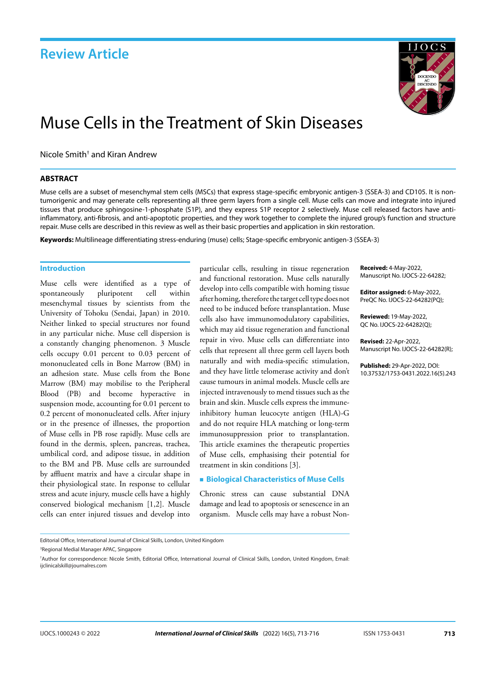

# Muse Cells in the Treatment of Skin Diseases

Nicole Smith<sup>†</sup> and Kiran Andrew

### **ABSTRACT**

Muse cells are a subset of mesenchymal stem cells (MSCs) that express stage-specific embryonic antigen-3 (SSEA-3) and CD105. It is nontumorigenic and may generate cells representing all three germ layers from a single cell. Muse cells can move and integrate into injured tissues that produce sphingosine-1-phosphate (S1P), and they express S1P receptor 2 selectively. Muse cell released factors have antiinflammatory, anti-fibrosis, and anti-apoptotic properties, and they work together to complete the injured group's function and structure repair. Muse cells are described in this review as well as their basic properties and application in skin restoration.

**Keywords:** Multilineage differentiating stress-enduring (muse) cells; Stage-specific embryonic antigen-3 (SSEA-3)

### **Introduction**

Muse cells were identified as a type of spontaneously pluripotent cell within mesenchymal tissues by scientists from the University of Tohoku (Sendai, Japan) in 2010. Neither linked to special structures nor found in any particular niche. Muse cell dispersion is a constantly changing phenomenon. 3 Muscle cells occupy 0.01 percent to 0.03 percent of mononucleated cells in Bone Marrow (BM) in an adhesion state. Muse cells from the Bone Marrow (BM) may mobilise to the Peripheral Blood (PB) and become hyperactive in suspension mode, accounting for 0.01 percent to 0.2 percent of mononucleated cells. After injury or in the presence of illnesses, the proportion of Muse cells in PB rose rapidly. Muse cells are found in the dermis, spleen, pancreas, trachea, umbilical cord, and adipose tissue, in addition to the BM and PB. Muse cells are surrounded by affluent matrix and have a circular shape in their physiological state. In response to cellular stress and acute injury, muscle cells have a highly conserved biological mechanism [1,2]. Muscle cells can enter injured tissues and develop into

particular cells, resulting in tissue regeneration and functional restoration. Muse cells naturally develop into cells compatible with homing tissue after homing, therefore the target cell type does not need to be induced before transplantation. Muse cells also have immunomodulatory capabilities, which may aid tissue regeneration and functional repair in vivo. Muse cells can differentiate into cells that represent all three germ cell layers both naturally and with media-specific stimulation, and they have little telomerase activity and don't cause tumours in animal models. Muscle cells are injected intravenously to mend tissues such as the brain and skin. Muscle cells express the immuneinhibitory human leucocyte antigen (HLA)-G and do not require HLA matching or long-term immunosuppression prior to transplantation. This article examines the therapeutic properties of Muse cells, emphasising their potential for treatment in skin conditions [3].

### **Biological Characteristics of Muse Cells**

Chronic stress can cause substantial DNA damage and lead to apoptosis or senescence in an organism. Muscle cells may have a robust Non**Received:** 4-May-2022, Manuscript No. IJOCS-22-64282;

**Editor assigned:** 6-May-2022, PreQC No. IJOCS-22-64282(PQ);

**Reviewed:** 19-May-2022, QC No. IJOCS-22-64282(Q);

**Revised:** 22-Apr-2022, Manuscript No. IJOCS-22-64282(R);

**Published:** 29-Apr-2022, DOI: 10.37532/1753-0431.2022.16(5).243

Editorial Office, International Journal of Clinical Skills, London, United Kingdom

3 Regional Medial Manager APAC, Singapore

<sup>†</sup> Author for correspondence: Nicole Smith, Editorial Office, International Journal of Clinical Skills, London, United Kingdom, Email: [ijclinicalskill@journalres.com](mailto:ijclinicalskill@journalres.com)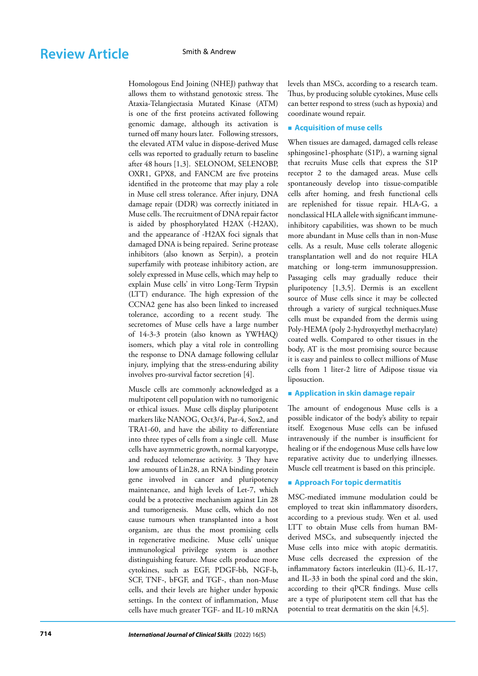Homologous End Joining (NHEJ) pathway that allows them to withstand genotoxic stress. The Ataxia-Telangiectasia Mutated Kinase (ATM) is one of the first proteins activated following genomic damage, although its activation is turned off many hours later. Following stressors, the elevated ATM value in dispose-derived Muse cells was reported to gradually return to baseline after 48 hours [1,3]. SELONOM, SELENOBP, OXR1, GPX8, and FANCM are five proteins identified in the proteome that may play a role in Muse cell stress tolerance. After injury, DNA damage repair (DDR) was correctly initiated in Muse cells. The recruitment of DNA repair factor is aided by phosphorylated H2AX (-H2AX), and the appearance of -H2AX foci signals that damaged DNA is being repaired. Serine protease inhibitors (also known as Serpin), a protein superfamily with protease inhibitory action, are solely expressed in Muse cells, which may help to explain Muse cells' in vitro Long-Term Trypsin (LTT) endurance. The high expression of the CCNA2 gene has also been linked to increased tolerance, according to a recent study. The secretomes of Muse cells have a large number of 14-3-3 protein (also known as YWHAQ) isomers, which play a vital role in controlling the response to DNA damage following cellular injury, implying that the stress-enduring ability involves pro-survival factor secretion [4].

Muscle cells are commonly acknowledged as a multipotent cell population with no tumorigenic or ethical issues. Muse cells display pluripotent markers like NANOG, Oct3/4, Par-4, Sox2, and TRA1-60, and have the ability to differentiate into three types of cells from a single cell. Muse cells have asymmetric growth, normal karyotype, and reduced telomerase activity. 3 They have low amounts of Lin28, an RNA binding protein gene involved in cancer and pluripotency maintenance, and high levels of Let-7, which could be a protective mechanism against Lin 28 and tumorigenesis. Muse cells, which do not cause tumours when transplanted into a host organism, are thus the most promising cells in regenerative medicine. Muse cells' unique immunological privilege system is another distinguishing feature. Muse cells produce more cytokines, such as EGF, PDGF-bb, NGF-b, SCF, TNF-, bFGF, and TGF-, than non-Muse cells, and their levels are higher under hypoxic settings. In the context of inflammation, Muse cells have much greater TGF- and IL-10 mRNA levels than MSCs, according to a research team. Thus, by producing soluble cytokines, Muse cells can better respond to stress (such as hypoxia) and coordinate wound repair.

### **Acquisition of muse cells**

When tissues are damaged, damaged cells release sphingosine1-phosphate (S1P), a warning signal that recruits Muse cells that express the S1P receptor 2 to the damaged areas. Muse cells spontaneously develop into tissue-compatible cells after homing, and fresh functional cells are replenished for tissue repair. HLA-G, a nonclassical HLA allele with significant immuneinhibitory capabilities, was shown to be much more abundant in Muse cells than in non-Muse cells. As a result, Muse cells tolerate allogenic transplantation well and do not require HLA matching or long-term immunosuppression. Passaging cells may gradually reduce their pluripotency [1,3,5]. Dermis is an excellent source of Muse cells since it may be collected through a variety of surgical techniques.Muse cells must be expanded from the dermis using Poly-HEMA (poly 2-hydroxyethyl methacrylate) coated wells. Compared to other tissues in the body, AT is the most promising source because it is easy and painless to collect millions of Muse cells from 1 liter-2 litre of Adipose tissue via liposuction.

### **Application in skin damage repair**

The amount of endogenous Muse cells is a possible indicator of the body's ability to repair itself. Exogenous Muse cells can be infused intravenously if the number is insufficient for healing or if the endogenous Muse cells have low reparative activity due to underlying illnesses. Muscle cell treatment is based on this principle.

### **Approach For topic dermatitis**

MSC-mediated immune modulation could be employed to treat skin inflammatory disorders, according to a previous study. Wen et al. used LTT to obtain Muse cells from human BMderived MSCs, and subsequently injected the Muse cells into mice with atopic dermatitis. Muse cells decreased the expression of the inflammatory factors interleukin (IL)-6, IL-17, and IL-33 in both the spinal cord and the skin, according to their qPCR findings. Muse cells are a type of pluripotent stem cell that has the potential to treat dermatitis on the skin [4,5].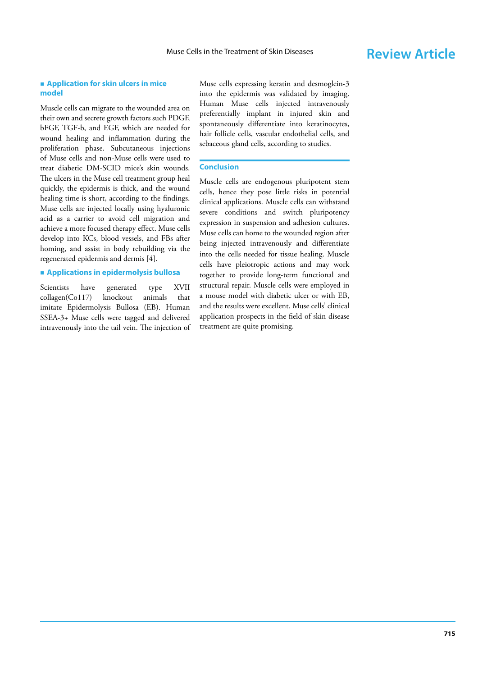### **Application for skin ulcers in mice model**

Muscle cells can migrate to the wounded area on their own and secrete growth factors such PDGF, bFGF, TGF-b, and EGF, which are needed for wound healing and inflammation during the proliferation phase. Subcutaneous injections of Muse cells and non-Muse cells were used to treat diabetic DM-SCID mice's skin wounds. The ulcers in the Muse cell treatment group heal quickly, the epidermis is thick, and the wound healing time is short, according to the findings. Muse cells are injected locally using hyaluronic acid as a carrier to avoid cell migration and achieve a more focused therapy effect. Muse cells develop into KCs, blood vessels, and FBs after homing, and assist in body rebuilding via the regenerated epidermis and dermis [4].

### **Applications in epidermolysis bullosa**

Scientists have generated type XVII collagen(Co117) knockout animals that imitate Epidermolysis Bullosa (EB). Human SSEA-3+ Muse cells were tagged and delivered intravenously into the tail vein. The injection of Muse cells expressing keratin and desmoglein-3 into the epidermis was validated by imaging. Human Muse cells injected intravenously preferentially implant in injured skin and spontaneously differentiate into keratinocytes, hair follicle cells, vascular endothelial cells, and sebaceous gland cells, according to studies.

### **Conclusion**

Muscle cells are endogenous pluripotent stem cells, hence they pose little risks in potential clinical applications. Muscle cells can withstand severe conditions and switch pluripotency expression in suspension and adhesion cultures. Muse cells can home to the wounded region after being injected intravenously and differentiate into the cells needed for tissue healing. Muscle cells have pleiotropic actions and may work together to provide long-term functional and structural repair. Muscle cells were employed in a mouse model with diabetic ulcer or with EB, and the results were excellent. Muse cells' clinical application prospects in the field of skin disease treatment are quite promising.